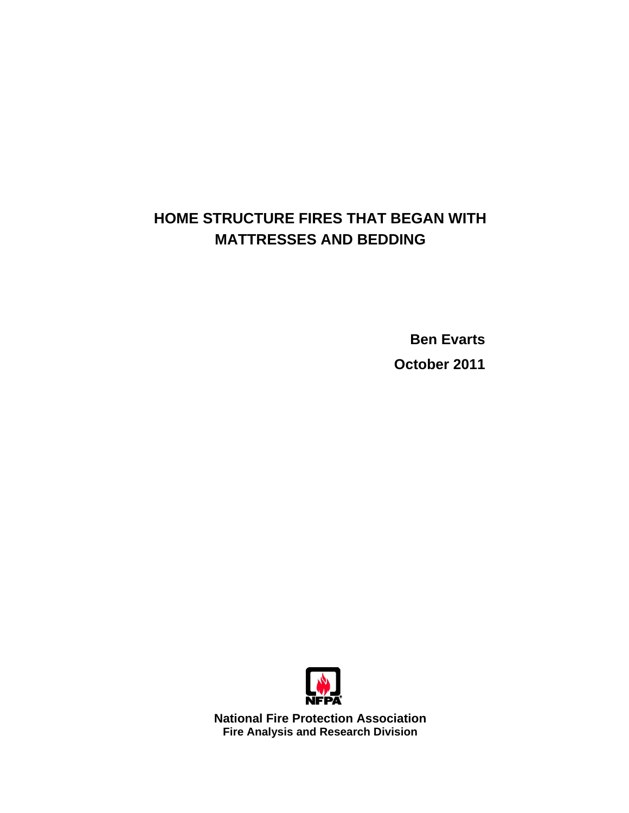# **HOME STRUCTURE FIRES THAT BEGAN WITH MATTRESSES AND BEDDING**

**Ben Evarts October 2011** 



**National Fire Protection Association Fire Analysis and Research Division**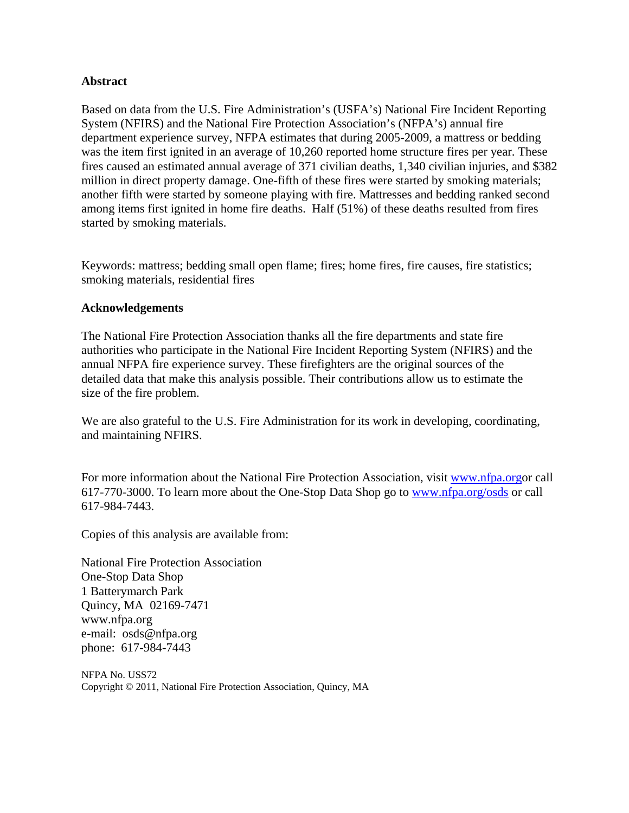## **Abstract**

Based on data from the U.S. Fire Administration's (USFA's) National Fire Incident Reporting System (NFIRS) and the National Fire Protection Association's (NFPA's) annual fire department experience survey, NFPA estimates that during 2005-2009, a mattress or bedding was the item first ignited in an average of 10,260 reported home structure fires per year. These fires caused an estimated annual average of 371 civilian deaths, 1,340 civilian injuries, and \$382 million in direct property damage. One-fifth of these fires were started by smoking materials; another fifth were started by someone playing with fire. Mattresses and bedding ranked second among items first ignited in home fire deaths. Half (51%) of these deaths resulted from fires started by smoking materials.

Keywords: mattress; bedding small open flame; fires; home fires, fire causes, fire statistics; smoking materials, residential fires

### **Acknowledgements**

The National Fire Protection Association thanks all the fire departments and state fire authorities who participate in the National Fire Incident Reporting System (NFIRS) and the annual NFPA fire experience survey. These firefighters are the original sources of the detailed data that make this analysis possible. Their contributions allow us to estimate the size of the fire problem.

We are also grateful to the U.S. Fire Administration for its work in developing, coordinating, and maintaining NFIRS.

For more information about the National Fire Protection Association, visit [www.nfpa.orgor ca](http://www.nfpa.orgor)ll 617-770-3000. To learn more about the One-Stop Data Shop go to [www.nfpa.org/osds or](http://www.nfpa.org/osds) call 617-984-7443.

Copies of this analysis are available from:

National Fire Protection Association One-Stop Data Shop 1 Batterymarch Park Quincy, MA 02169-7471 [www.nfpa.org](http://www.nfpa.org)  e-mail: [osds@nfpa.org](mailto:osds@nfpa.org)  phone: 617-984-7443

NFPA No. USS72 Copyright © 2011, National Fire Protection Association, Quincy, MA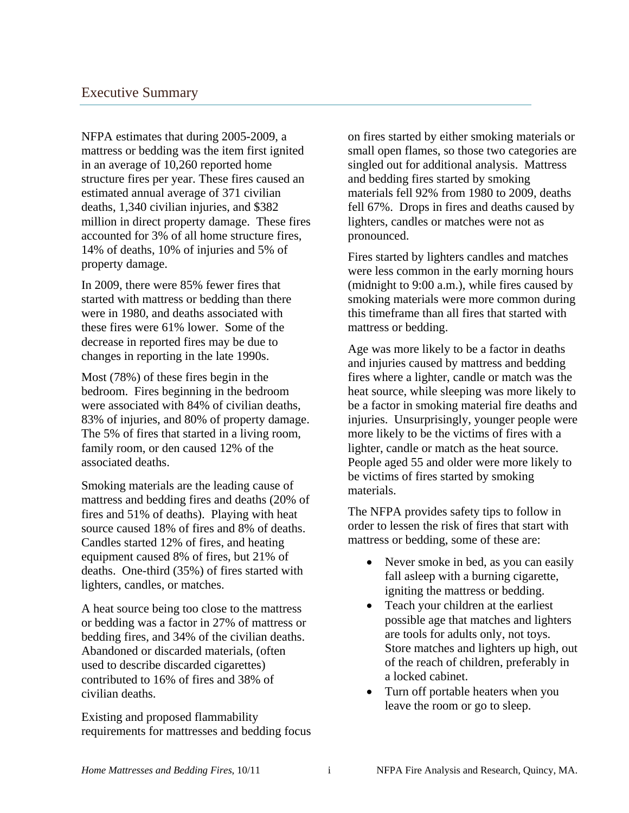NFPA estimates that during 2005-2009, a mattress or bedding was the item first ignited in an average of 10,260 reported home structure fires per year. These fires caused an estimated annual average of 371 civilian deaths, 1,340 civilian injuries, and \$382 million in direct property damage. These fires accounted for 3% of all home structure fires, 14% of deaths, 10% of injuries and 5% of property damage.

In 2009, there were 85% fewer fires that started with mattress or bedding than there were in 1980, and deaths associated with these fires were 61% lower. Some of the decrease in reported fires may be due to changes in reporting in the late 1990s.

Most (78%) of these fires begin in the bedroom. Fires beginning in the bedroom were associated with 84% of civilian deaths, 83% of injuries, and 80% of property damage. The 5% of fires that started in a living room, family room, or den caused 12% of the associated deaths.

Smoking materials are the leading cause of mattress and bedding fires and deaths (20% of fires and 51% of deaths). Playing with heat source caused 18% of fires and 8% of deaths. Candles started 12% of fires, and heating equipment caused 8% of fires, but 21% of deaths. One-third (35%) of fires started with lighters, candles, or matches.

A heat source being too close to the mattress or bedding was a factor in 27% of mattress or bedding fires, and 34% of the civilian deaths. Abandoned or discarded materials, (often used to describe discarded cigarettes) contributed to 16% of fires and 38% of civilian deaths.

Existing and proposed flammability requirements for mattresses and bedding focus on fires started by either smoking materials or small open flames, so those two categories are singled out for additional analysis. Mattress and bedding fires started by smoking materials fell 92% from 1980 to 2009, deaths fell 67%. Drops in fires and deaths caused by lighters, candles or matches were not as pronounced.

Fires started by lighters candles and matches were less common in the early morning hours (midnight to 9:00 a.m.), while fires caused by smoking materials were more common during this timeframe than all fires that started with mattress or bedding.

Age was more likely to be a factor in deaths and injuries caused by mattress and bedding fires where a lighter, candle or match was the heat source, while sleeping was more likely to be a factor in smoking material fire deaths and injuries. Unsurprisingly, younger people were more likely to be the victims of fires with a lighter, candle or match as the heat source. People aged 55 and older were more likely to be victims of fires started by smoking materials.

The NFPA provides safety tips to follow in order to lessen the risk of fires that start with mattress or bedding, some of these are:

- Never smoke in bed, as you can easily fall asleep with a burning cigarette, igniting the mattress or bedding.
- Teach your children at the earliest possible age that matches and lighters are tools for adults only, not toys. Store matches and lighters up high, out of the reach of children, preferably in a locked cabinet.
- Turn off portable heaters when you leave the room or go to sleep.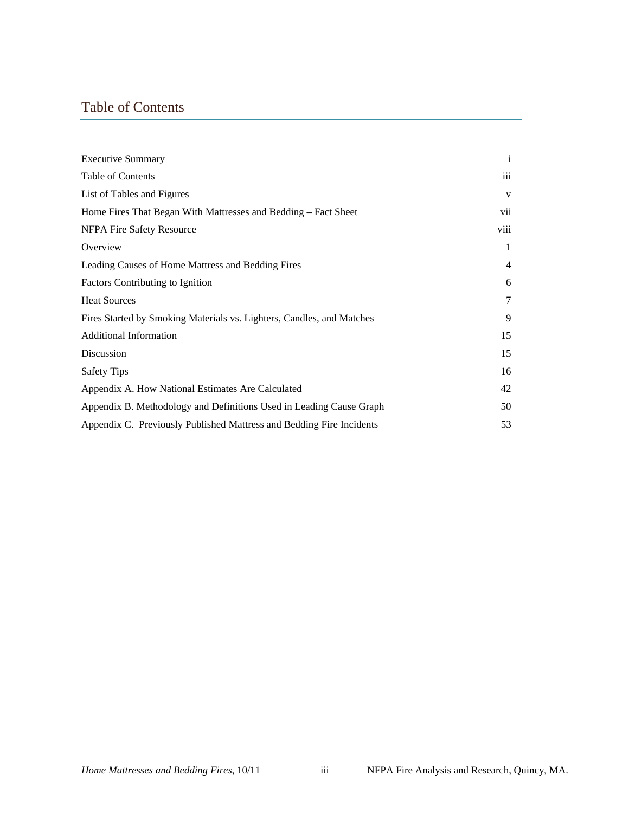# Table of Contents

| <b>Executive Summary</b>                                              | $\mathbf{i}$   |
|-----------------------------------------------------------------------|----------------|
| Table of Contents                                                     | iii            |
| List of Tables and Figures                                            | V              |
| Home Fires That Began With Mattresses and Bedding – Fact Sheet        | vii            |
| NFPA Fire Safety Resource                                             | viii           |
| Overview                                                              | 1              |
| Leading Causes of Home Mattress and Bedding Fires                     | $\overline{4}$ |
| <b>Factors Contributing to Ignition</b>                               | 6              |
| <b>Heat Sources</b>                                                   | $\tau$         |
| Fires Started by Smoking Materials vs. Lighters, Candles, and Matches | 9              |
| <b>Additional Information</b>                                         | 15             |
| Discussion                                                            | 15             |
| <b>Safety Tips</b>                                                    | 16             |
| Appendix A. How National Estimates Are Calculated                     | 42             |
| Appendix B. Methodology and Definitions Used in Leading Cause Graph   | 50             |
| Appendix C. Previously Published Mattress and Bedding Fire Incidents  | 53             |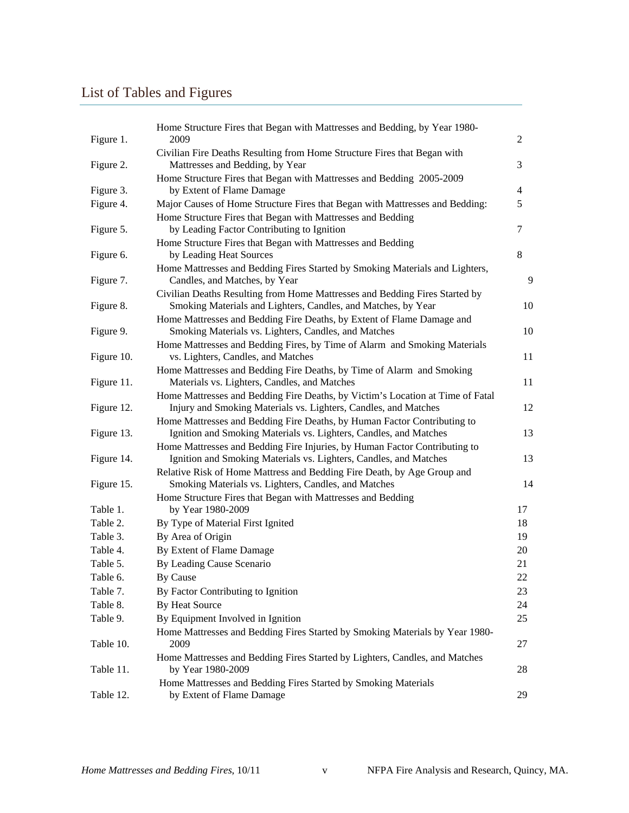# List of Tables and Figures

| Figure 1.  | Home Structure Fires that Began with Mattresses and Bedding, by Year 1980-<br>2009                                                                | 2              |
|------------|---------------------------------------------------------------------------------------------------------------------------------------------------|----------------|
| Figure 2.  | Civilian Fire Deaths Resulting from Home Structure Fires that Began with<br>Mattresses and Bedding, by Year                                       | 3              |
| Figure 3.  | Home Structure Fires that Began with Mattresses and Bedding 2005-2009<br>by Extent of Flame Damage                                                | $\overline{4}$ |
| Figure 4.  | Major Causes of Home Structure Fires that Began with Mattresses and Bedding:                                                                      | 5              |
|            | Home Structure Fires that Began with Mattresses and Bedding                                                                                       |                |
| Figure 5.  | by Leading Factor Contributing to Ignition                                                                                                        | 7              |
|            | Home Structure Fires that Began with Mattresses and Bedding                                                                                       |                |
| Figure 6.  | by Leading Heat Sources                                                                                                                           | 8              |
| Figure 7.  | Home Mattresses and Bedding Fires Started by Smoking Materials and Lighters,<br>Candles, and Matches, by Year                                     | 9              |
|            | Civilian Deaths Resulting from Home Mattresses and Bedding Fires Started by                                                                       |                |
| Figure 8.  | Smoking Materials and Lighters, Candles, and Matches, by Year                                                                                     | 10             |
| Figure 9.  | Home Mattresses and Bedding Fire Deaths, by Extent of Flame Damage and<br>Smoking Materials vs. Lighters, Candles, and Matches                    | 10             |
|            | Home Mattresses and Bedding Fires, by Time of Alarm and Smoking Materials                                                                         |                |
| Figure 10. | vs. Lighters, Candles, and Matches                                                                                                                | 11             |
| Figure 11. | Home Mattresses and Bedding Fire Deaths, by Time of Alarm and Smoking<br>Materials vs. Lighters, Candles, and Matches                             | 11             |
| Figure 12. | Home Mattresses and Bedding Fire Deaths, by Victim's Location at Time of Fatal<br>Injury and Smoking Materials vs. Lighters, Candles, and Matches | 12             |
| Figure 13. | Home Mattresses and Bedding Fire Deaths, by Human Factor Contributing to<br>Ignition and Smoking Materials vs. Lighters, Candles, and Matches     | 13             |
| Figure 14. | Home Mattresses and Bedding Fire Injuries, by Human Factor Contributing to<br>Ignition and Smoking Materials vs. Lighters, Candles, and Matches   | 13             |
| Figure 15. | Relative Risk of Home Mattress and Bedding Fire Death, by Age Group and<br>Smoking Materials vs. Lighters, Candles, and Matches                   | 14             |
|            | Home Structure Fires that Began with Mattresses and Bedding                                                                                       |                |
| Table 1.   | by Year 1980-2009                                                                                                                                 | 17             |
| Table 2.   | By Type of Material First Ignited                                                                                                                 | 18             |
| Table 3.   | By Area of Origin                                                                                                                                 | 19             |
| Table 4.   | By Extent of Flame Damage                                                                                                                         | 20             |
| Table 5.   | By Leading Cause Scenario                                                                                                                         | 21             |
| Table 6.   | <b>By Cause</b>                                                                                                                                   | $22\,$         |
| Table 7.   | By Factor Contributing to Ignition                                                                                                                | 23             |
| Table 8.   | By Heat Source                                                                                                                                    | 24             |
| Table 9.   | By Equipment Involved in Ignition                                                                                                                 | 25             |
| Table 10.  | Home Mattresses and Bedding Fires Started by Smoking Materials by Year 1980-<br>2009                                                              | 27             |
| Table 11.  | Home Mattresses and Bedding Fires Started by Lighters, Candles, and Matches<br>by Year 1980-2009                                                  | 28             |
|            | Home Mattresses and Bedding Fires Started by Smoking Materials                                                                                    |                |
| Table 12.  | by Extent of Flame Damage                                                                                                                         | 29             |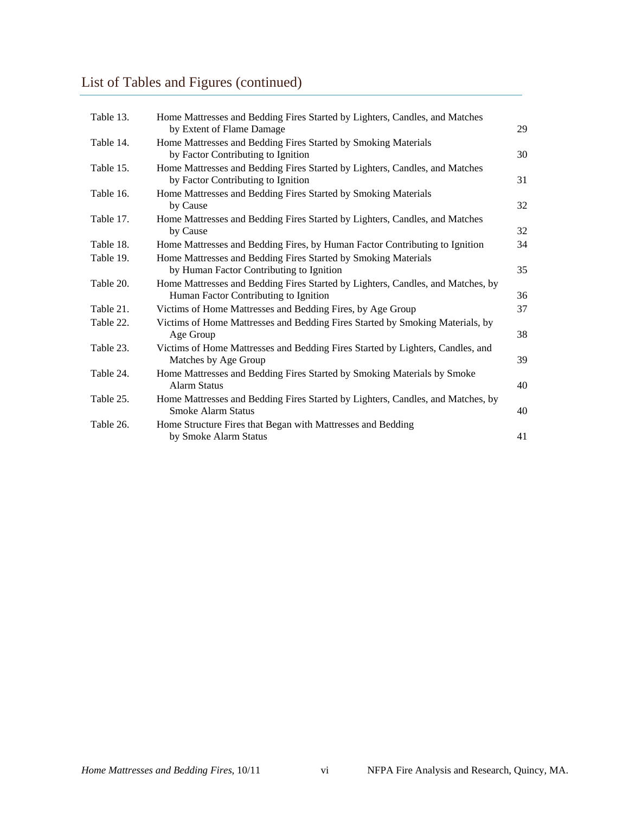# List of Tables and Figures (continued)

| Table 13. | Home Mattresses and Bedding Fires Started by Lighters, Candles, and Matches<br>by Extent of Flame Damage                 | 29 |
|-----------|--------------------------------------------------------------------------------------------------------------------------|----|
| Table 14. | Home Mattresses and Bedding Fires Started by Smoking Materials<br>by Factor Contributing to Ignition                     | 30 |
| Table 15. | Home Mattresses and Bedding Fires Started by Lighters, Candles, and Matches<br>by Factor Contributing to Ignition        | 31 |
| Table 16. | Home Mattresses and Bedding Fires Started by Smoking Materials<br>by Cause                                               | 32 |
| Table 17. | Home Mattresses and Bedding Fires Started by Lighters, Candles, and Matches<br>by Cause                                  | 32 |
| Table 18. | Home Mattresses and Bedding Fires, by Human Factor Contributing to Ignition                                              | 34 |
| Table 19. | Home Mattresses and Bedding Fires Started by Smoking Materials<br>by Human Factor Contributing to Ignition               | 35 |
| Table 20. | Home Mattresses and Bedding Fires Started by Lighters, Candles, and Matches, by<br>Human Factor Contributing to Ignition | 36 |
| Table 21. | Victims of Home Mattresses and Bedding Fires, by Age Group                                                               | 37 |
| Table 22. | Victims of Home Mattresses and Bedding Fires Started by Smoking Materials, by<br>Age Group                               | 38 |
| Table 23. | Victims of Home Mattresses and Bedding Fires Started by Lighters, Candles, and<br>Matches by Age Group                   | 39 |
| Table 24. | Home Mattresses and Bedding Fires Started by Smoking Materials by Smoke<br><b>Alarm Status</b>                           | 40 |
| Table 25. | Home Mattresses and Bedding Fires Started by Lighters, Candles, and Matches, by<br><b>Smoke Alarm Status</b>             | 40 |
| Table 26. | Home Structure Fires that Began with Mattresses and Bedding<br>by Smoke Alarm Status                                     | 41 |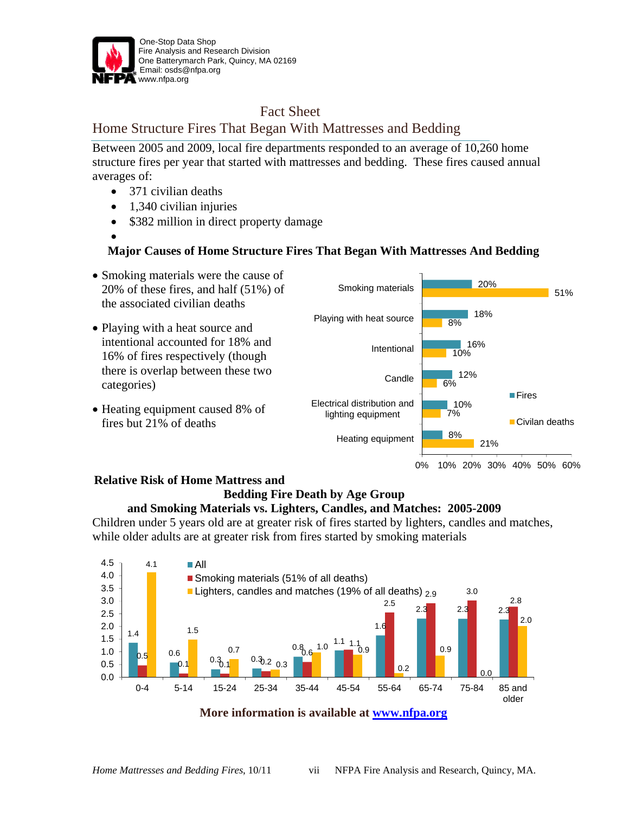

## Fact Sheet

## Home Structure Fires That Began With Mattresses and Bedding

Between 2005 and 2009, local fire departments responded to an average of 10,260 home structure fires per year that started with mattresses and bedding. These fires caused annual averages of:

- 371 civilian deaths
- 1,340 civilian injuries
- \$382 million in direct property damage

### • **Major Causes of Home Structure Fires That Began With Mattresses And Bedding**



#### 0% 10% 20% 30% 40% 50% 60%

### **Relative Risk of Home Mattress and Bedding Fire Death by Age Group**

## **and Smoking Materials vs. Lighters, Candles, and Matches: 2005-2009**

Children under 5 years old are at greater risk of fires started by lighters, candles and matches, while older adults are at greater risk from fires started by smoking materials